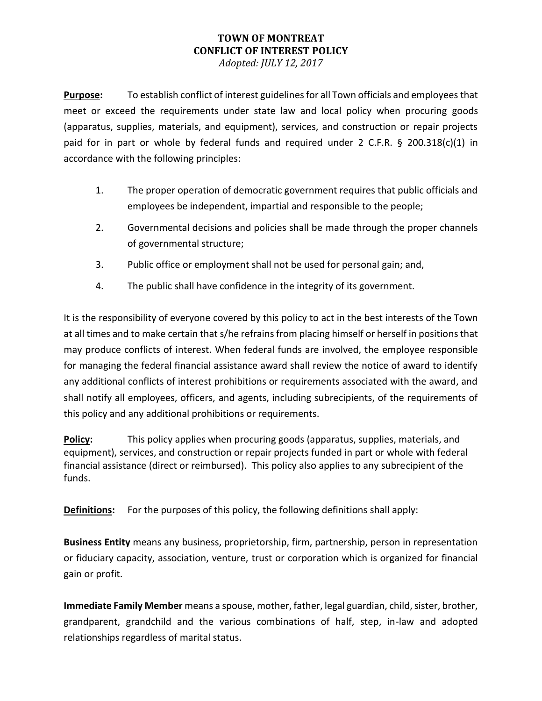## **TOWN OF MONTREAT CONFLICT OF INTEREST POLICY**

*Adopted: JULY 12, 2017*

**Purpose:** To establish conflict of interest guidelines for all Town officials and employees that meet or exceed the requirements under state law and local policy when procuring goods (apparatus, supplies, materials, and equipment), services, and construction or repair projects paid for in part or whole by federal funds and required under 2 C.F.R.  $\S$  200.318(c)(1) in accordance with the following principles:

- 1. The proper operation of democratic government requires that public officials and employees be independent, impartial and responsible to the people;
- 2. Governmental decisions and policies shall be made through the proper channels of governmental structure;
- 3. Public office or employment shall not be used for personal gain; and,
- 4. The public shall have confidence in the integrity of its government.

It is the responsibility of everyone covered by this policy to act in the best interests of the Town at all times and to make certain that s/he refrains from placing himself or herself in positions that may produce conflicts of interest. When federal funds are involved, the employee responsible for managing the federal financial assistance award shall review the notice of award to identify any additional conflicts of interest prohibitions or requirements associated with the award, and shall notify all employees, officers, and agents, including subrecipients, of the requirements of this policy and any additional prohibitions or requirements.

**Policy:** This policy applies when procuring goods (apparatus, supplies, materials, and equipment), services, and construction or repair projects funded in part or whole with federal financial assistance (direct or reimbursed). This policy also applies to any subrecipient of the funds.

**Definitions:** For the purposes of this policy, the following definitions shall apply:

**Business Entity** means any business, proprietorship, firm, partnership, person in representation or fiduciary capacity, association, venture, trust or corporation which is organized for financial gain or profit.

**Immediate Family Member** means a spouse, mother, father, legal guardian, child, sister, brother, grandparent, grandchild and the various combinations of half, step, in-law and adopted relationships regardless of marital status.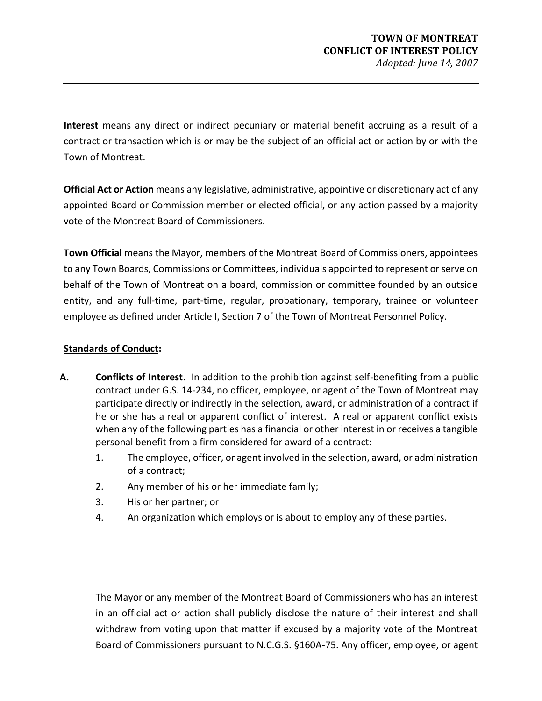**Interest** means any direct or indirect pecuniary or material benefit accruing as a result of a contract or transaction which is or may be the subject of an official act or action by or with the Town of Montreat.

**Official Act or Action** means any legislative, administrative, appointive or discretionary act of any appointed Board or Commission member or elected official, or any action passed by a majority vote of the Montreat Board of Commissioners.

**Town Official** means the Mayor, members of the Montreat Board of Commissioners, appointees to any Town Boards, Commissions or Committees, individuals appointed to represent or serve on behalf of the Town of Montreat on a board, commission or committee founded by an outside entity, and any full-time, part-time, regular, probationary, temporary, trainee or volunteer employee as defined under Article I, Section 7 of the Town of Montreat Personnel Policy.

## **Standards of Conduct:**

- **A. Conflicts of Interest**. In addition to the prohibition against self-benefiting from a public contract under G.S. 14-234, no officer, employee, or agent of the Town of Montreat may participate directly or indirectly in the selection, award, or administration of a contract if he or she has a real or apparent conflict of interest. A real or apparent conflict exists when any of the following parties has a financial or other interest in or receives a tangible personal benefit from a firm considered for award of a contract:
	- 1. The employee, officer, or agent involved in the selection, award, or administration of a contract;
	- 2. Any member of his or her immediate family;
	- 3. His or her partner; or
	- 4. An organization which employs or is about to employ any of these parties.

The Mayor or any member of the Montreat Board of Commissioners who has an interest in an official act or action shall publicly disclose the nature of their interest and shall withdraw from voting upon that matter if excused by a majority vote of the Montreat Board of Commissioners pursuant to N.C.G.S. §160A-75. Any officer, employee, or agent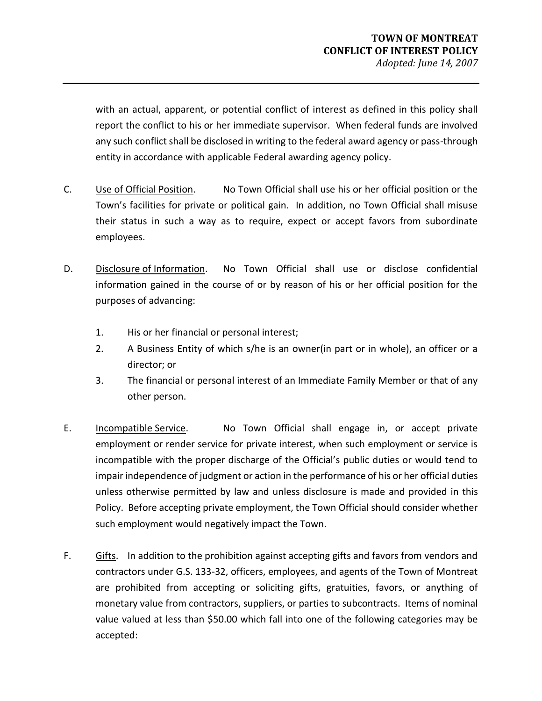with an actual, apparent, or potential conflict of interest as defined in this policy shall report the conflict to his or her immediate supervisor. When federal funds are involved any such conflict shall be disclosed in writing to the federal award agency or pass-through entity in accordance with applicable Federal awarding agency policy.

- C. Use of Official Position. No Town Official shall use his or her official position or the Town's facilities for private or political gain. In addition, no Town Official shall misuse their status in such a way as to require, expect or accept favors from subordinate employees.
- D. Disclosure of Information. No Town Official shall use or disclose confidential information gained in the course of or by reason of his or her official position for the purposes of advancing:
	- 1. His or her financial or personal interest;
	- 2. A Business Entity of which s/he is an owner(in part or in whole), an officer or a director; or
	- 3. The financial or personal interest of an Immediate Family Member or that of any other person.
- E. Incompatible Service. No Town Official shall engage in, or accept private employment or render service for private interest, when such employment or service is incompatible with the proper discharge of the Official's public duties or would tend to impair independence of judgment or action in the performance of his or her official duties unless otherwise permitted by law and unless disclosure is made and provided in this Policy. Before accepting private employment, the Town Official should consider whether such employment would negatively impact the Town.
- F. Gifts. In addition to the prohibition against accepting gifts and favors from vendors and contractors under G.S. 133-32, officers, employees, and agents of the Town of Montreat are prohibited from accepting or soliciting gifts, gratuities, favors, or anything of monetary value from contractors, suppliers, or parties to subcontracts. Items of nominal value valued at less than \$50.00 which fall into one of the following categories may be accepted: